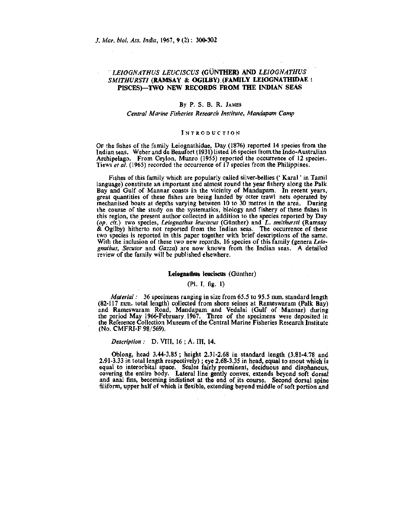# *LEIOGNATHUS LEUCISCUS* (GUNTHER) **AND** *LEIOGNATHUS SMITHURSTI* **(RAMSAY & OGILBY) (FAMILY LEIOGNATHIDAE : PISCES)—TWO NEW RECORDS FROM THE INDIAN SEAS**

### By P. S. **B. R.** JAMES

### *Central Marine Fisheries Research Institute, Mandapam Camp*

### INTRODUCTION

OF the fishes of the family Leiognathidae, Day (1876) reported 14 species from the Indian seas. Weber and de Beaufort (1931) listed 16 species from the Indo-Australian Archipelago. From Ceylon, Munro (1955) reported the occurrence of 12 species. Tiews *et al.* (1965) recorded the occurrence of 17 species from the Philippines.

Fishes of this family which are popularly called silver-bellies (' Karal' in Tamil language) constitute an important and almost round the year fishery along the Palk Bay and Gulf of Mannar coasts in the vicinity of Mandapam. In recent years, great quantities of these fishes are being landed by otter trawl nets operated by mechanised boats at depths varying between 10 to 30 metres in the area. During the course of the study on the systematics, biology and fishery of these fishes in this region, the present author collected in addition to the species reported by Day *(op. cit.)* two species, *Leiognathus leuciscus* (Günther) and *L. smithursti* (Ramsay  $\&$  Ogilby) hitherto not reported from the Indian seas. The occurrence of these two species is reported in this paper together with brief descriptions of the same. With the inclusion of these two new records, 16 species of this family (genera Leio*gnathus, Secutor* and *Gazza)* are now known from the Indian seas. A detailed review of the family will be published elsewhere.

### **Leiognathus leuciscus** (Giinther)

## (PI. I, fig. 1)

*Material:* 36 specimens ranging in size from 65.5 to 95.5 mm. standard length (82-117 mm. total length) collected from shore seines at Rameswaram (Palk Bay) and Rameswaram Road, Mandapam and Yedalai (Gulf of Mannar) during the period May 1966-February.l967. Three of the specimens were deposited in the Reference Collection Museum of the Central Marine Fisheries Research Institute (No. CMFRI-F 98/569).

### *Description :* D. YIIT, 16 ; A. Ill, 14.

Oblong, head 3.44-3.85 ; height 2.31-2.68 in standard length (3.81-4.78 and 2.91-3.33 in total length respectively); eye 2.68-3.35 in head, equal to snout which is equal to interorbital space. Scales fairly prominent, deciduous and diaphanous, covering the entire body. Lateral line gently convex, extends beyond soft dorsal and anal fins, becoming indistinct at the end of its course. Second dorsal spine filiform, upper half of which is flexible, extending beyond middle of soft portion and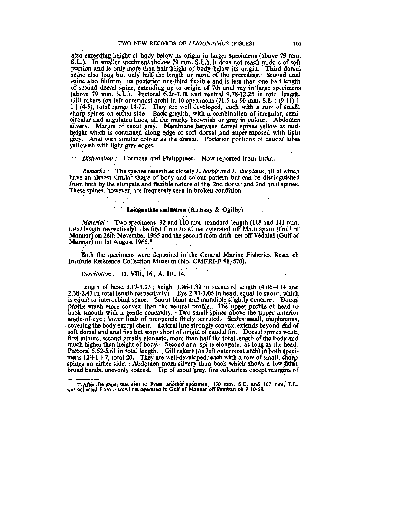also exceeding height of body below its origin in larger specimens (above 79 mm. S.L.). In smaller specimens (below 79 mm. S.L.), it does not reach middle of soft portion and is only more than half height of body-below its origin. Third dorsal spine also long but only half the length or more of the preceding. Second anal spine also filiform ; its posterior one-third flexible and is less than one half length of second dorsal spine, extending up to origin of 7th anal ray in large specimens (above 79 mm. S.L.). Pectoral 6.26-7.38 and ventral 9.78-12.25 in total length. Gill rakers (on left outermost arch) in 10 specimens (71.5 to 90 mm. S.L.) (9-11) +  $1+(4-5)$ , total range 14-17. They are well-developed, each with a row of-small, sharp spines on either side. Back greyish, with a combination of irregular, semicircular and angulated lines, all the marks brownish or grey in colour. Abdomen silvery. Margin of snout grey. Membrane between dorsal spines yellow at midheight which is continued along edge of soft dorsal and superimposed with light grey. Anal with similar colour as the dorsal. Posterior portions of caudal lobes yellowish with light grey edges.

*Distribution :* Formosa and Philippines. Now reported from India.

*Remarks :* The species resembles closely *L. berbis* and *L. lineolatus,* all of which have an almost similar shape of body and colour pattern but can be distinguished from both by the elongate and flexible nature of the 2nd dorsal and 2nd anal spines. These spines, however, are frequently seen in broken condition.

# **Leiognathus smithursti** (Ramsay & Ogilby)

*Material:* Two specimens, 92 and 110 mm. standard length (118 and 141 mm. total length respectively), the first from trawl net operated off Mandapam (Gulf of Mannar) on 26th November 1965 and the second from drift net off Vedalai (Gulf of Mannar) on 1st August 1966.\*

Both the specimens were deposited in the Central Marine Fisheries Research Institute Reference Collection Museum (No. CMFRI-F 98/570).

*Description:* D. VIII, 16 ; A. lU, 14.

Length of head 3.17-3.23 ; height 1.86-1.89 in standard length (4.06-4.14 and  $2.38-2.43$  in total length respectively). Eye  $2.83-3.05$  in head, equal to snout, which is equal to interorbital space. Snout blunt and mandible slightly concave. Dorsal profile much more convex than the ventral profile. The upper profile of head to back smooth with a gentle concavity. Two small; spines above the upper anterior angle of eye ; lower limb of preopercle flriely serrated. Scales small, diaphanous, covering the body except chest. Lateral line strongly convex, extends beyond end of soft dorsal and anal fins but stops short of origin of caudal fin. Dorsal spines weak, first minute, second greatly elongate, more than half the total length of the body and much higher than height of body. Second anal spine elongate, as long as the head. Pectoral 5.52-5.61 in total length. Gill rakers (on left outermost arch) in both specimens  $12+1+7$ , total 20. They are well-developed, each with a row of small, sharp spines on either side. Abdomen more silvery than back which shows a few faint broad bands, unevenly spaced. Tip of snout grey, fins colourless except margins of

<sup>•-</sup>After the paper was sent to Press, another specimen, 130 miri, S't. and 167 mmi T.L. was collected from a trawl net operated in Gulf of Mannar off Pambari oh 9-10-68.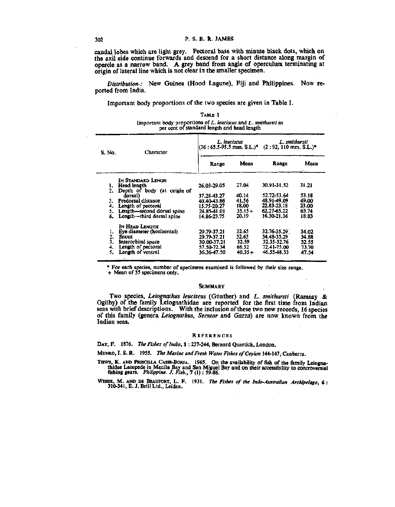caudal lobes which are light grey. Pectoral base with minute black dots, which on the axil side continue forwards and descend for a short distance along margin of opercle as a narrow band. A grey band from angle of operculum terminating at origin of lateral line which is not clear in the smaller specimen.

*Distribution-:* New Guinea (Hood Lagune), Fiji and Philippines. Now reported from India.

Important body proportions of the two species are given in Table I.

| S. No. | Character                                   | L. leuciscus<br>$(36:65.5-95.5$ mm, S.L. $)^*$ (2:92, 110 mm, S.L. $)^*$ ) |           | L. smithursti              |       |
|--------|---------------------------------------------|----------------------------------------------------------------------------|-----------|----------------------------|-------|
|        |                                             | Range                                                                      | Mean      | Range                      | Mean  |
|        | In Standard Lengh                           |                                                                            |           |                            |       |
| ı.     | Head length                                 | 26.03-29.05                                                                | 27.04     | 30.91-31.52                | 31.21 |
| 2.     | Depth of body (at origin of                 |                                                                            |           |                            |       |
|        | dorsal)                                     | 37.28-43.27                                                                | 40.14     | 52.72-53.64                | 53.18 |
| 3.     | Predorsal distance                          | 40.40-43.86                                                                | 41.56     | 48.91-49.09                | 49.00 |
| 4.     | Length of pectoral                          | 15.75-20.27                                                                | 18.00     | 22.83-23.18                | 23.00 |
| 5.     | Length-second dorsal spine                  | 24.85-41.01                                                                | $35.15 +$ | 62.27-65.22<br>16.30-21.36 | 63.74 |
| 6.     | Length—third dorsal spine<br>IN HEAD LENGTH | 14.86-23.75                                                                | 20.19     |                            | 18.83 |
| ı.     | Eye diameter (horizontal)                   | 29.79-37.21                                                                | 32.65     | 32.76-35.29                | 34.02 |
| 2.     | Snout                                       | 29.79-37.21                                                                | 32.65     | 34.48-35.29                | 34.88 |
| 3.     | Interorbital space                          | 30.00-37.21                                                                | 32.59     | 32.35-32.76                | 32.55 |
| 4.     | Length of pectoral                          | 57.50-72.34                                                                | 66.52     | 72.41-75.00                | 73.70 |
| 5.     | Length of ventral                           | 36.36-47.50                                                                | $40.35 +$ | 46.55-48.53                | 47.54 |

Important body proportions of *L. leuciscus* and *L. smithursti* as

TABLE I

\* For each species, number of specimens examined is followed by their size range. + Mean of 35 specimens only.

### **SUMMARY**

Two species, *Leiognathus leuciscus* (Gunther) and *L. smithursti* (Ramsay & Ogilby) of the family Leiognathidae are reported for the first time from Indian seas with brief descriptions. With the inclusion of these two new records, 16 species of this family (genera *Leiognathus, Secutor* and *Gazza)* are now known from the Indian seas.

#### **REFERENCES**

DAY, F. 1876. The Fishes of India, 1: 237-244, Bernard Quartich, London.

MUNRO, I. S. R. 1955. *The Marine andFresit Water Fislies of Ceylon* 144-147, Canberra.

THEWS, K. AND PRISCILLA CASES-BORJA. 1965. On the availability of fish of the family Leiogna-<br>thidae Lacepede in Manila Bay and San Miguel Bay and on their accessibility to controversial<br>fishing gears. *Philippine. J. Fish* 

WEBER, M. AND DE BEAUFORT, L. F. 1931. The Fishes of the Indo-Australian Archipelago, 6: 310-341, E. J. Brill Ltd., Leiden.